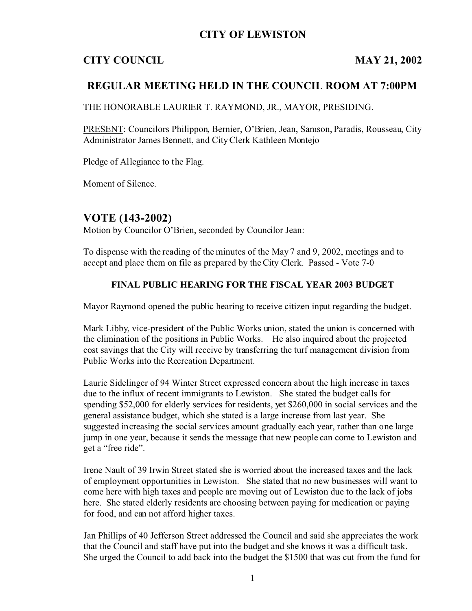## **CITY OF LEWISTON**

# **CITY COUNCIL MAY 21, 2002**

## **REGULAR MEETING HELD IN THE COUNCIL ROOM AT 7:00PM**

THE HONORABLE LAURIER T. RAYMOND, JR., MAYOR, PRESIDING.

PRESENT: Councilors Philippon, Bernier, O'Brien, Jean, Samson, Paradis, Rousseau, City Administrator James Bennett, and City Clerk Kathleen Montejo

Pledge of Allegiance to the Flag.

Moment of Silence.

## **VOTE (143-2002)**

Motion by Councilor O'Brien, seconded by Councilor Jean:

To dispense with the reading of the minutes of the May 7 and 9, 2002, meetings and to accept and place them on file as prepared by the City Clerk. Passed - Vote 7-0

### **FINAL PUBLIC HEARING FOR THE FISCAL YEAR 2003 BUDGET**

Mayor Raymond opened the public hearing to receive citizen input regarding the budget.

Mark Libby, vice-president of the Public Works union, stated the union is concerned with the elimination of the positions in Public Works. He also inquired about the projected cost savings that the City will receive by transferring the turf management division from Public Works into the Recreation Department.

Laurie Sidelinger of 94 Winter Street expressed concern about the high increase in taxes due to the influx of recent immigrants to Lewiston. She stated the budget calls for spending \$52,000 for elderly services for residents, yet \$260,000 in social services and the general assistance budget, which she stated is a large increase from last year. She suggested increasing the social services amount gradually each year, rather than one large jump in one year, because it sends the message that new people can come to Lewiston and get a "free ride".

Irene Nault of 39 Irwin Street stated she is worried about the increased taxes and the lack of employment opportunities in Lewiston. She stated that no new businesses will want to come here with high taxes and people are moving out of Lewiston due to the lack of jobs here. She stated elderly residents are choosing between paying for medication or paying for food, and can not afford higher taxes.

Jan Phillips of 40 Jefferson Street addressed the Council and said she appreciates the work that the Council and staff have put into the budget and she knows it was a difficult task. She urged the Council to add back into the budget the \$1500 that was cut from the fund for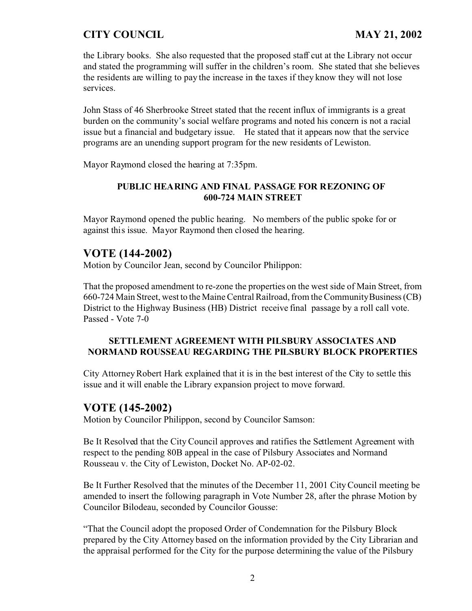the Library books. She also requested that the proposed staff cut at the Library not occur and stated the programming will suffer in the children's room. She stated that she believes the residents are willing to pay the increase in the taxes if they know they will not lose services.

John Stass of 46 Sherbrooke Street stated that the recent influx of immigrants is a great burden on the community's social welfare programs and noted his concern is not a racial issue but a financial and budgetary issue. He stated that it appears now that the service programs are an unending support program for the new residents of Lewiston.

Mayor Raymond closed the hearing at 7:35pm.

### **PUBLIC HEARING AND FINAL PASSAGE FOR REZONING OF 600-724 MAIN STREET**

Mayor Raymond opened the public hearing. No members of the public spoke for or against this issue. Mayor Raymond then closed the hearing.

## **VOTE (144-2002)**

Motion by Councilor Jean, second by Councilor Philippon:

That the proposed amendment to re-zone the properties on the west side of Main Street, from 660-724 Main Street, west to the Maine Central Railroad, from the Community Business (CB) District to the Highway Business (HB) District receive final passage by a roll call vote. Passed - Vote 7-0

### **SETTLEMENT AGREEMENT WITH PILSBURY ASSOCIATES AND NORMAND ROUSSEAU REGARDING THE PILSBURY BLOCK PROPERTIES**

City Attorney Robert Hark explained that it is in the best interest of the City to settle this issue and it will enable the Library expansion project to move forward.

## **VOTE (145-2002)**

Motion by Councilor Philippon, second by Councilor Samson:

Be It Resolved that the City Council approves and ratifies the Settlement Agreement with respect to the pending 80B appeal in the case of Pilsbury Associates and Normand Rousseau v. the City of Lewiston, Docket No. AP-02-02.

Be It Further Resolved that the minutes of the December 11, 2001 City Council meeting be amended to insert the following paragraph in Vote Number 28, after the phrase Motion by Councilor Bilodeau, seconded by Councilor Gousse:

"That the Council adopt the proposed Order of Condemnation for the Pilsbury Block prepared by the City Attorney based on the information provided by the City Librarian and the appraisal performed for the City for the purpose determining the value of the Pilsbury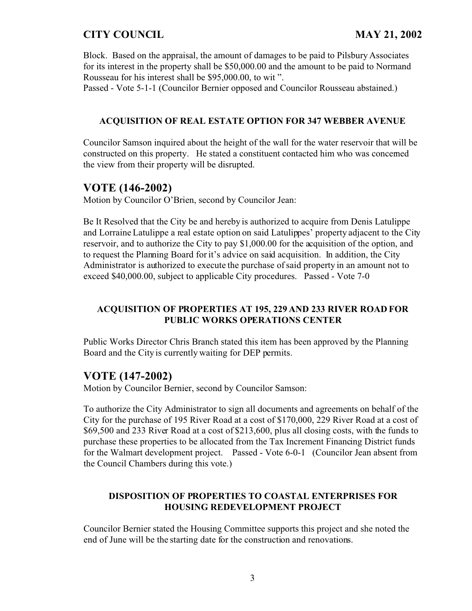Block. Based on the appraisal, the amount of damages to be paid to Pilsbury Associates for its interest in the property shall be \$50,000.00 and the amount to be paid to Normand Rousseau for his interest shall be \$95,000.00, to wit ".

Passed - Vote 5-1-1 (Councilor Bernier opposed and Councilor Rousseau abstained.)

#### **ACQUISITION OF REAL ESTATE OPTION FOR 347 WEBBER AVENUE**

Councilor Samson inquired about the height of the wall for the water reservoir that will be constructed on this property. He stated a constituent contacted him who was concerned the view from their property will be disrupted.

## **VOTE (146-2002)**

Motion by Councilor O'Brien, second by Councilor Jean:

Be It Resolved that the City be and hereby is authorized to acquire from Denis Latulippe and Lorraine Latulippe a real estate option on said Latulippes' property adjacent to the City reservoir, and to authorize the City to pay \$1,000.00 for the acquisition of the option, and to request the Planning Board for it's advice on said acquisition. In addition, the City Administrator is authorized to execute the purchase of said property in an amount not to exceed \$40,000.00, subject to applicable City procedures. Passed - Vote 7-0

### **ACQUISITION OF PROPERTIES AT 195, 229 AND 233 RIVER ROAD FOR PUBLIC WORKS OPERATIONS CENTER**

Public Works Director Chris Branch stated this item has been approved by the Planning Board and the City is currently waiting for DEP permits.

## **VOTE (147-2002)**

Motion by Councilor Bernier, second by Councilor Samson:

To authorize the City Administrator to sign all documents and agreements on behalf of the City for the purchase of 195 River Road at a cost of \$170,000, 229 River Road at a cost of \$69,500 and 233 River Road at a cost of \$213,600, plus all closing costs, with the funds to purchase these properties to be allocated from the Tax Increment Financing District funds for the Walmart development project. Passed - Vote 6-0-1 (Councilor Jean absent from the Council Chambers during this vote.)

### **DISPOSITION OF PROPERTIES TO COASTAL ENTERPRISES FOR HOUSING REDEVELOPMENT PROJECT**

Councilor Bernier stated the Housing Committee supports this project and she noted the end of June will be the starting date for the construction and renovations.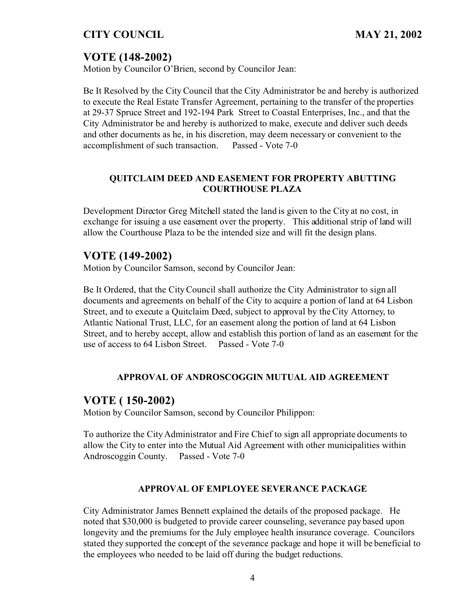# **VOTE (148-2002)**

Motion by Councilor O'Brien, second by Councilor Jean:

Be It Resolved by the City Council that the City Administrator be and hereby is authorized to execute the Real Estate Transfer Agreement, pertaining to the transfer of the properties at 29-37 Spruce Street and 192-194 Park Street to Coastal Enterprises, Inc., and that the City Administrator be and hereby is authorized to make, execute and deliver such deeds and other documents as he, in his discretion, may deem necessary or convenient to the accomplishment of such transaction. Passed - Vote 7-0

### **QUITCLAIM DEED AND EASEMENT FOR PROPERTY ABUTTING COURTHOUSE PLAZA**

Development Director Greg Mitchell stated the land is given to the City at no cost, in exchange for issuing a use easement over the property. This additional strip of land will allow the Courthouse Plaza to be the intended size and will fit the design plans.

# **VOTE (149-2002)**

Motion by Councilor Samson, second by Councilor Jean:

Be It Ordered, that the City Council shall authorize the City Administrator to sign all documents and agreements on behalf of the City to acquire a portion of land at 64 Lisbon Street, and to execute a Quitclaim Deed, subject to approval by the City Attorney, to Atlantic National Trust, LLC, for an easement along the portion of land at 64 Lisbon Street, and to hereby accept, allow and establish this portion of land as an easement for the use of access to 64 Lisbon Street. Passed - Vote 7-0

### **APPROVAL OF ANDROSCOGGIN MUTUAL AID AGREEMENT**

## **VOTE ( 150-2002)**

Motion by Councilor Samson, second by Councilor Philippon:

To authorize the City Administrator and Fire Chief to sign all appropriate documents to allow the City to enter into the Mutual Aid Agreement with other municipalities within Androscoggin County. Passed - Vote 7-0

### **APPROVAL OF EMPLOYEE SEVERANCE PACKAGE**

City Administrator James Bennett explained the details of the proposed package. He noted that \$30,000 is budgeted to provide career counseling, severance pay based upon longevity and the premiums for the July employee health insurance coverage. Councilors stated they supported the concept of the severance package and hope it will be beneficial to the employees who needed to be laid off during the budget reductions.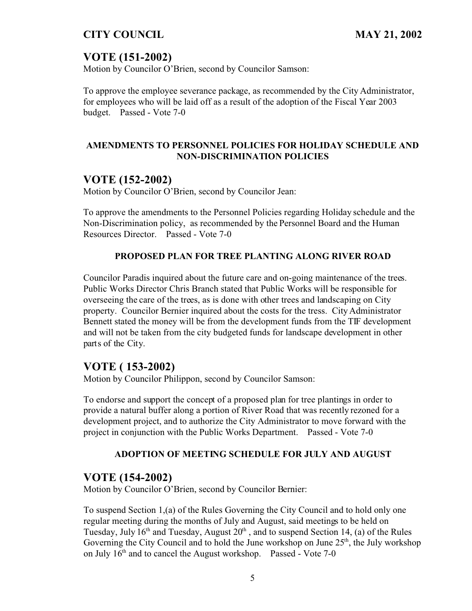# **VOTE (151-2002)**

Motion by Councilor O'Brien, second by Councilor Samson:

To approve the employee severance package, as recommended by the City Administrator, for employees who will be laid off as a result of the adoption of the Fiscal Year 2003 budget. Passed - Vote 7-0

### **AMENDMENTS TO PERSONNEL POLICIES FOR HOLIDAY SCHEDULE AND NON-DISCRIMINATION POLICIES**

# **VOTE (152-2002)**

Motion by Councilor O'Brien, second by Councilor Jean:

To approve the amendments to the Personnel Policies regarding Holiday schedule and the Non-Discrimination policy, as recommended by the Personnel Board and the Human Resources Director. Passed - Vote 7-0

### **PROPOSED PLAN FOR TREE PLANTING ALONG RIVER ROAD**

Councilor Paradis inquired about the future care and on-going maintenance of the trees. Public Works Director Chris Branch stated that Public Works will be responsible for overseeing the care of the trees, as is done with other trees and landscaping on City property. Councilor Bernier inquired about the costs for the tress. City Administrator Bennett stated the money will be from the development funds from the TIF development and will not be taken from the city budgeted funds for landscape development in other parts of the City.

# **VOTE ( 153-2002)**

Motion by Councilor Philippon, second by Councilor Samson:

To endorse and support the concept of a proposed plan for tree plantings in order to provide a natural buffer along a portion of River Road that was recently rezoned for a development project, and to authorize the City Administrator to move forward with the project in conjunction with the Public Works Department. Passed - Vote 7-0

### **ADOPTION OF MEETING SCHEDULE FOR JULY AND AUGUST**

## **VOTE (154-2002)**

Motion by Councilor O'Brien, second by Councilor Bernier:

To suspend Section 1,(a) of the Rules Governing the City Council and to hold only one regular meeting during the months of July and August, said meetings to be held on Tuesday, July  $16<sup>th</sup>$  and Tuesday, August  $20<sup>th</sup>$ , and to suspend Section 14, (a) of the Rules Governing the City Council and to hold the June workshop on June  $25<sup>th</sup>$ , the July workshop on July  $16<sup>th</sup>$  and to cancel the August workshop. Passed - Vote 7-0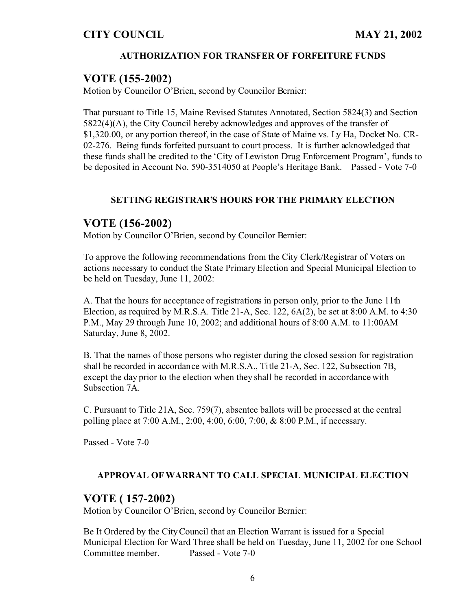#### **AUTHORIZATION FOR TRANSFER OF FORFEITURE FUNDS**

### **VOTE (155-2002)**

Motion by Councilor O'Brien, second by Councilor Bernier:

That pursuant to Title 15, Maine Revised Statutes Annotated, Section 5824(3) and Section 5822(4)(A), the City Council hereby acknowledges and approves of the transfer of \$1,320.00, or any portion thereof, in the case of State of Maine vs. Ly Ha, Docket No. CR-02-276. Being funds forfeited pursuant to court process. It is further acknowledged that these funds shall be credited to the 'City of Lewiston Drug Enforcement Program', funds to be deposited in Account No. 590-3514050 at People's Heritage Bank. Passed - Vote 7-0

#### **SETTING REGISTRAR'S HOURS FOR THE PRIMARY ELECTION**

### **VOTE (156-2002)**

Motion by Councilor O'Brien, second by Councilor Bernier:

To approve the following recommendations from the City Clerk/Registrar of Voters on actions necessary to conduct the State Primary Election and Special Municipal Election to be held on Tuesday, June 11, 2002:

A. That the hours for acceptance of registrations in person only, prior to the June 11th Election, as required by M.R.S.A. Title 21-A, Sec. 122, 6A(2), be set at 8:00 A.M. to 4:30 P.M., May 29 through June 10, 2002; and additional hours of 8:00 A.M. to 11:00AM Saturday, June 8, 2002.

B. That the names of those persons who register during the closed session for registration shall be recorded in accordance with M.R.S.A., Title 21-A, Sec. 122, Subsection 7B, except the day prior to the election when they shall be recorded in accordance with Subsection 7A.

C. Pursuant to Title 21A, Sec. 759(7), absentee ballots will be processed at the central polling place at 7:00 A.M., 2:00, 4:00, 6:00, 7:00, & 8:00 P.M., if necessary.

Passed - Vote 7-0

#### **APPROVAL OF WARRANT TO CALL SPECIAL MUNICIPAL ELECTION**

### **VOTE ( 157-2002)**

Motion by Councilor O'Brien, second by Councilor Bernier:

Be It Ordered by the City Council that an Election Warrant is issued for a Special Municipal Election for Ward Three shall be held on Tuesday, June 11, 2002 for one School Committee member. Passed - Vote 7-0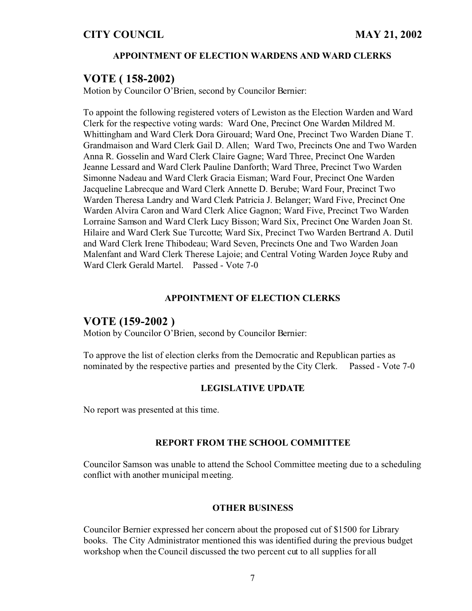#### **APPOINTMENT OF ELECTION WARDENS AND WARD CLERKS**

### **VOTE ( 158-2002)**

Motion by Councilor O'Brien, second by Councilor Bernier:

To appoint the following registered voters of Lewiston as the Election Warden and Ward Clerk for the respective voting wards: Ward One, Precinct One Warden Mildred M. Whittingham and Ward Clerk Dora Girouard; Ward One, Precinct Two Warden Diane T. Grandmaison and Ward Clerk Gail D. Allen; Ward Two, Precincts One and Two Warden Anna R. Gosselin and Ward Clerk Claire Gagne; Ward Three, Precinct One Warden Jeanne Lessard and Ward Clerk Pauline Danforth; Ward Three, Precinct Two Warden Simonne Nadeau and Ward Clerk Gracia Eisman; Ward Four, Precinct One Warden Jacqueline Labrecque and Ward Clerk Annette D. Berube; Ward Four, Precinct Two Warden Theresa Landry and Ward Clerk Patricia J. Belanger; Ward Five, Precinct One Warden Alvira Caron and Ward Clerk Alice Gagnon; Ward Five, Precinct Two Warden Lorraine Samson and Ward Clerk Lucy Bisson; Ward Six, Precinct One Warden Joan St. Hilaire and Ward Clerk Sue Turcotte; Ward Six, Precinct Two Warden Bertrand A. Dutil and Ward Clerk Irene Thibodeau; Ward Seven, Precincts One and Two Warden Joan Malenfant and Ward Clerk Therese Lajoie; and Central Voting Warden Joyce Ruby and Ward Clerk Gerald Martel. Passed - Vote 7-0

#### **APPOINTMENT OF ELECTION CLERKS**

#### **VOTE (159-2002 )**

Motion by Councilor O'Brien, second by Councilor Bernier:

To approve the list of election clerks from the Democratic and Republican parties as nominated by the respective parties and presented by the City Clerk. Passed - Vote 7-0

#### **LEGISLATIVE UPDATE**

No report was presented at this time.

#### **REPORT FROM THE SCHOOL COMMITTEE**

Councilor Samson was unable to attend the School Committee meeting due to a scheduling conflict with another municipal meeting.

#### **OTHER BUSINESS**

Councilor Bernier expressed her concern about the proposed cut of \$1500 for Library books. The City Administrator mentioned this was identified during the previous budget workshop when the Council discussed the two percent cut to all supplies for all